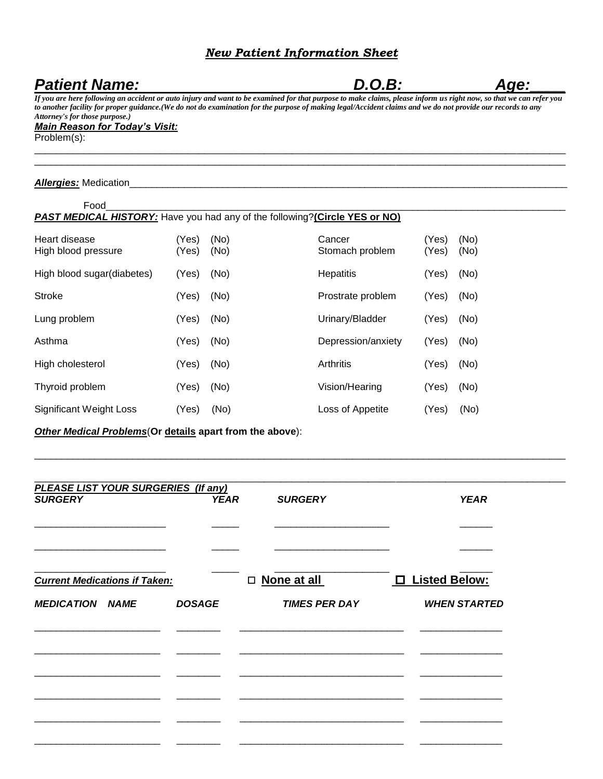## *New Patient Information Sheet*

## Patient Name: **Age:** *D.O.B:* **Age:**

*If you are here following an accident or auto injury and want to be examined for that purpose to make claims, please inform us right now, so that we can refer you to another facility for proper guidance.(We do not do examination for the purpose of making legal/Accident claims and we do not provide our records to any Attorney's for those purpose.)*

 $\_$  ,  $\_$  ,  $\_$  ,  $\_$  ,  $\_$  ,  $\_$  ,  $\_$  ,  $\_$  ,  $\_$  ,  $\_$  ,  $\_$  ,  $\_$  ,  $\_$  ,  $\_$  ,  $\_$  ,  $\_$  ,  $\_$  ,  $\_$  ,  $\_$  ,  $\_$  ,  $\_$  ,  $\_$  ,  $\_$  ,  $\_$  ,  $\_$  ,  $\_$  ,  $\_$  ,  $\_$  ,  $\_$  ,  $\_$  ,  $\_$  ,  $\_$  ,  $\_$  ,  $\_$  ,  $\_$  ,  $\_$  ,  $\_$  ,  $\_$  ,  $\_$  ,  $\_$  ,  $\_$  ,  $\_$  ,  $\_$  ,  $\_$  ,  $\_$  ,  $\_$  ,  $\_$  ,  $\_$  ,  $\_$  ,  $\_$  ,  $\_$  ,  $\_$  ,  $\_$  ,  $\_$  ,  $\_$  ,  $\_$  ,  $\_$  ,  $\_$  ,  $\_$  ,  $\_$  ,  $\_$  ,  $\_$  ,  $\_$  ,  $\_$  ,  $\_$  ,  $\_$  ,  $\_$  ,  $\_$  ,  $\_$  ,  $\_$  ,  $\_$  ,  $\_$  ,  $\_$  ,  $\_$  ,

#### *Main Reason for Today's Visit:*

Problem(s):

#### *Allergies:* Medication\_\_\_\_\_\_\_\_\_\_\_\_\_\_\_\_\_\_\_\_\_\_\_\_\_\_\_\_\_\_\_\_\_\_\_\_\_\_\_\_\_\_\_\_\_\_\_\_\_\_\_\_\_\_\_\_\_\_\_\_\_\_\_\_\_\_\_\_\_\_\_\_\_\_\_\_\_\_\_\_

| Food                                                                               |                |              |                           |                |              |
|------------------------------------------------------------------------------------|----------------|--------------|---------------------------|----------------|--------------|
| <b>PAST MEDICAL HISTORY:</b> Have you had any of the following? (Circle YES or NO) |                |              |                           |                |              |
| Heart disease<br>High blood pressure                                               | (Yes)<br>(Yes) | (No)<br>(No) | Cancer<br>Stomach problem | (Yes)<br>(Yes) | (No)<br>(No) |
| High blood sugar(diabetes)                                                         | (Yes)          | (No)         | Hepatitis                 | (Yes)          | (No)         |
| <b>Stroke</b>                                                                      | (Yes)          | (No)         | Prostrate problem         | (Yes)          | (No)         |
| Lung problem                                                                       | (Yes)          | (No)         | Urinary/Bladder           | (Yes)          | (No)         |
| Asthma                                                                             | (Yes)          | (No)         | Depression/anxiety        | (Yes)          | (No)         |
| High cholesterol                                                                   | (Yes)          | (No)         | Arthritis                 | (Yes)          | (No)         |
| Thyroid problem                                                                    | (Yes)          | (No)         | Vision/Hearing            | (Yes)          | (No)         |
| <b>Significant Weight Loss</b>                                                     | (Yes)          | (No)         | Loss of Appetite          | (Yes)          | (No)         |

*Other Medical Problems*(**Or details apart from the above**):

| <b>PLEASE LIST YOUR SURGERIES (If any)</b> |               |                      |                     |
|--------------------------------------------|---------------|----------------------|---------------------|
| <b>SURGERY</b>                             | <b>YEAR</b>   | <b>SURGERY</b>       | <b>YEAR</b>         |
|                                            |               |                      |                     |
|                                            |               |                      |                     |
| <b>Current Medications if Taken:</b>       |               | $\Box$ None at all   | □ Listed Below:     |
| <b>MEDICATION NAME</b>                     | <b>DOSAGE</b> | <b>TIMES PER DAY</b> | <b>WHEN STARTED</b> |
|                                            |               |                      |                     |
|                                            |               |                      |                     |
|                                            |               |                      |                     |
|                                            |               |                      |                     |
|                                            |               |                      |                     |
|                                            |               |                      |                     |

 $\_$  ,  $\_$  ,  $\_$  ,  $\_$  ,  $\_$  ,  $\_$  ,  $\_$  ,  $\_$  ,  $\_$  ,  $\_$  ,  $\_$  ,  $\_$  ,  $\_$  ,  $\_$  ,  $\_$  ,  $\_$  ,  $\_$  ,  $\_$  ,  $\_$  ,  $\_$  ,  $\_$  ,  $\_$  ,  $\_$  ,  $\_$  ,  $\_$  ,  $\_$  ,  $\_$  ,  $\_$  ,  $\_$  ,  $\_$  ,  $\_$  ,  $\_$  ,  $\_$  ,  $\_$  ,  $\_$  ,  $\_$  ,  $\_$  ,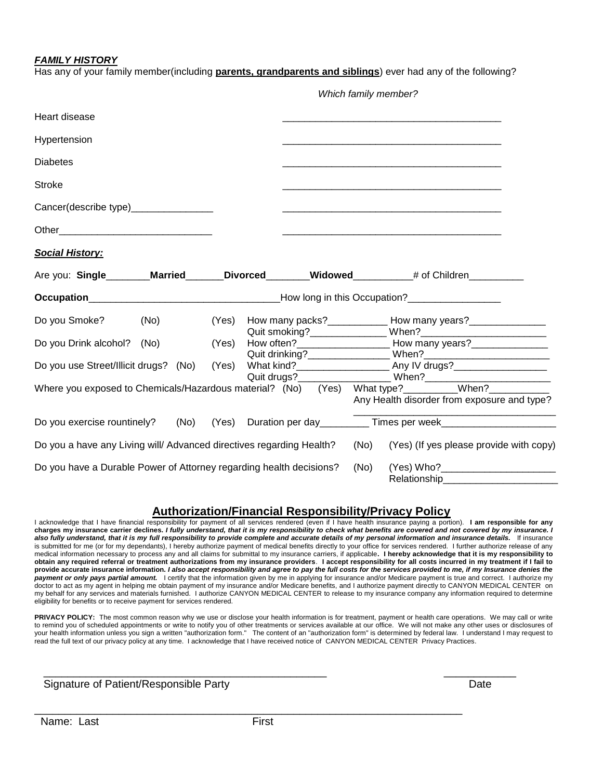#### *FAMILY HISTORY*

Has any of your family member(including **parents, grandparents and siblings**) ever had any of the following?

|                                                                      | Which family member? |  |  |      |                                                                                                                                                                                                                                |
|----------------------------------------------------------------------|----------------------|--|--|------|--------------------------------------------------------------------------------------------------------------------------------------------------------------------------------------------------------------------------------|
| Heart disease                                                        |                      |  |  |      |                                                                                                                                                                                                                                |
| Hypertension                                                         |                      |  |  |      |                                                                                                                                                                                                                                |
| <b>Diabetes</b>                                                      |                      |  |  |      |                                                                                                                                                                                                                                |
| <b>Stroke</b>                                                        |                      |  |  |      |                                                                                                                                                                                                                                |
| Cancer(describe type)_________________                               |                      |  |  |      | <u> 1980 - Johann Barn, mars an t-Amerikaansk politiker (* 1908)</u>                                                                                                                                                           |
|                                                                      |                      |  |  |      |                                                                                                                                                                                                                                |
| <b>Social History:</b>                                               |                      |  |  |      |                                                                                                                                                                                                                                |
|                                                                      |                      |  |  |      | Are you: Single Married Divorced Widowed # of Children                                                                                                                                                                         |
|                                                                      |                      |  |  |      |                                                                                                                                                                                                                                |
| Do you Smoke?<br>(No)                                                | (Yes)                |  |  |      |                                                                                                                                                                                                                                |
| Do you Drink alcohol? (No)                                           | (Yes)                |  |  |      | How many packs?<br>Quit smoking?  Quit smoking?  Mhen?  Mhen?  Mhen?  Mhen?  Mhen?  Mhen?  Mhen?  Mhen?  Mhen?  Mhen?  Mhen?  Mhen?  Mhen?  Mhen?  Mhen?  Mhen?  Mhen?  Mhen?  Mhen?  Mhen?  Mhen?  Mhen?  Mhen?  Mhen?  Mhen? |
| Do you use Street/Illicit drugs? (No)                                | (Yes)                |  |  |      |                                                                                                                                                                                                                                |
|                                                                      |                      |  |  |      | When? Where you exposed to Chemicals/Hazardous material? (No) (Yes) What type? When? When?<br>Any Health disorder from exposure and type?                                                                                      |
| Do you exercise rountinely? (No)                                     |                      |  |  |      | (Yes) Duration per day___________ Times per week________________________________                                                                                                                                               |
| Do you a have any Living will/ Advanced directives regarding Health? |                      |  |  | (No) | (Yes) (If yes please provide with copy)                                                                                                                                                                                        |
| Do you have a Durable Power of Attorney regarding health decisions?  |                      |  |  | (No) | Relationship                                                                                                                                                                                                                   |

### **Authorization/Financial Responsibility/Privacy Policy**

I acknowledge that I have financial responsibility for payment of all services rendered (even if I have health insurance paying a portion). **I am responsible for any charges my insurance carrier declines.** *I fully understand, that it is my responsibility to check what benefits are covered and not covered by my insurance. I also fully understand, that it is my full responsibility to provide complete and accurate details of my personal information and insurance details.* If insurance is submitted for me (or for my dependants), I hereby authorize payment of medical benefits directly to your office for services rendered. I further authorize release of any<br>medical information necessary to process any and **obtain any required referral or treatment authorizations from my insurance providers**. **I accept responsibility for all costs incurred in my treatment if I fail to provide accurate insurance information.** *I also accept responsibility and agree to pay the full costs for the services provided to me, if my Insurance denies the payment or only pays partial amount.* I certify that the information given by me in applying for insurance and/or Medicare payment is true and correct. I authorize my doctor to act as my agent in helping me obtain payment of my insurance and/or Medicare benefits, and I authorize payment directly to CANYON MEDICAL CENTER on my behalf for any services and materials furnished. I authorize CANYON MEDICAL CENTER to release to my insurance company any information required to determine eligibility for benefits or to receive payment for services rendered.

PRIVACY POLICY: The most common reason why we use or disclose your health information is for treatment, payment or health care operations. We may call or write to remind you of scheduled appointments or write to notify you of other treatments or services available at our office. We will not make any other uses or disclosures of your health information unless you sign a written "authorization form." The content of an "authorization form" is determined by federal law. I understand I may request to read the full text of our privacy policy at any time. I acknowledge that I have received notice of CANYON MEDICAL CENTER Privacy Practices.

 $\frac{1}{2}$  ,  $\frac{1}{2}$  ,  $\frac{1}{2}$  ,  $\frac{1}{2}$  ,  $\frac{1}{2}$  ,  $\frac{1}{2}$  ,  $\frac{1}{2}$  ,  $\frac{1}{2}$  ,  $\frac{1}{2}$  ,  $\frac{1}{2}$  ,  $\frac{1}{2}$  ,  $\frac{1}{2}$  ,  $\frac{1}{2}$  ,  $\frac{1}{2}$  ,  $\frac{1}{2}$  ,  $\frac{1}{2}$  ,  $\frac{1}{2}$  ,  $\frac{1}{2}$  ,  $\frac{1$ Signature of Patient/Responsible Party **Date** Date **Date** Date

\_\_\_\_\_\_\_\_\_\_\_\_\_\_\_\_\_\_\_\_\_\_\_\_\_\_\_\_\_\_\_\_\_\_\_\_\_\_\_\_\_\_\_\_\_\_\_\_\_\_\_\_\_\_\_\_\_\_\_\_\_\_\_\_\_\_\_\_\_\_\_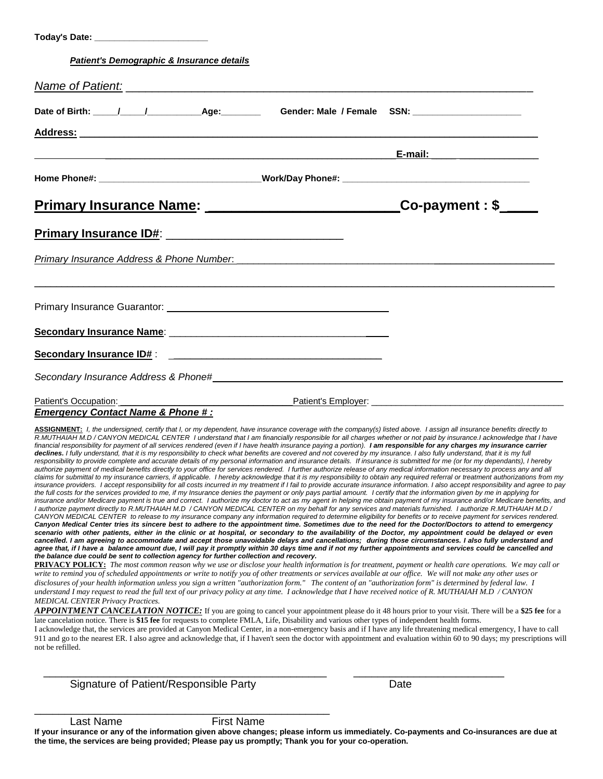| Patient's Demographic & Insurance details                                                                                                                                                                                                                                                                                                                                                                                                                                                                                                                                                                                                                                                                                                                                                                                                                                                                                                                                                                                                                                                                                                                                                                                                                                                                                                                                                                                                                                                                                                                                                                                                                                                                                                                                                                                                                                                                                                                                                                                                                                                                                                                                                                                                                                                                                                                                                                                                                                                                                                                                                                                                                                                                                                                                                                                                                                                                                                                                                                                                                                                                                                                                                                                                                                                                                                                                                                                                                                                                                                                                                                                                                                                                                                                                                                                                                                                                                                                                                                                                                                                                                                                                                                                                                                                                  |      |
|------------------------------------------------------------------------------------------------------------------------------------------------------------------------------------------------------------------------------------------------------------------------------------------------------------------------------------------------------------------------------------------------------------------------------------------------------------------------------------------------------------------------------------------------------------------------------------------------------------------------------------------------------------------------------------------------------------------------------------------------------------------------------------------------------------------------------------------------------------------------------------------------------------------------------------------------------------------------------------------------------------------------------------------------------------------------------------------------------------------------------------------------------------------------------------------------------------------------------------------------------------------------------------------------------------------------------------------------------------------------------------------------------------------------------------------------------------------------------------------------------------------------------------------------------------------------------------------------------------------------------------------------------------------------------------------------------------------------------------------------------------------------------------------------------------------------------------------------------------------------------------------------------------------------------------------------------------------------------------------------------------------------------------------------------------------------------------------------------------------------------------------------------------------------------------------------------------------------------------------------------------------------------------------------------------------------------------------------------------------------------------------------------------------------------------------------------------------------------------------------------------------------------------------------------------------------------------------------------------------------------------------------------------------------------------------------------------------------------------------------------------------------------------------------------------------------------------------------------------------------------------------------------------------------------------------------------------------------------------------------------------------------------------------------------------------------------------------------------------------------------------------------------------------------------------------------------------------------------------------------------------------------------------------------------------------------------------------------------------------------------------------------------------------------------------------------------------------------------------------------------------------------------------------------------------------------------------------------------------------------------------------------------------------------------------------------------------------------------------------------------------------------------------------------------------------------------------------------------------------------------------------------------------------------------------------------------------------------------------------------------------------------------------------------------------------------------------------------------------------------------------------------------------------------------------------------------------------------------------------------------------------------------------------------------------|------|
|                                                                                                                                                                                                                                                                                                                                                                                                                                                                                                                                                                                                                                                                                                                                                                                                                                                                                                                                                                                                                                                                                                                                                                                                                                                                                                                                                                                                                                                                                                                                                                                                                                                                                                                                                                                                                                                                                                                                                                                                                                                                                                                                                                                                                                                                                                                                                                                                                                                                                                                                                                                                                                                                                                                                                                                                                                                                                                                                                                                                                                                                                                                                                                                                                                                                                                                                                                                                                                                                                                                                                                                                                                                                                                                                                                                                                                                                                                                                                                                                                                                                                                                                                                                                                                                                                                            |      |
|                                                                                                                                                                                                                                                                                                                                                                                                                                                                                                                                                                                                                                                                                                                                                                                                                                                                                                                                                                                                                                                                                                                                                                                                                                                                                                                                                                                                                                                                                                                                                                                                                                                                                                                                                                                                                                                                                                                                                                                                                                                                                                                                                                                                                                                                                                                                                                                                                                                                                                                                                                                                                                                                                                                                                                                                                                                                                                                                                                                                                                                                                                                                                                                                                                                                                                                                                                                                                                                                                                                                                                                                                                                                                                                                                                                                                                                                                                                                                                                                                                                                                                                                                                                                                                                                                                            |      |
|                                                                                                                                                                                                                                                                                                                                                                                                                                                                                                                                                                                                                                                                                                                                                                                                                                                                                                                                                                                                                                                                                                                                                                                                                                                                                                                                                                                                                                                                                                                                                                                                                                                                                                                                                                                                                                                                                                                                                                                                                                                                                                                                                                                                                                                                                                                                                                                                                                                                                                                                                                                                                                                                                                                                                                                                                                                                                                                                                                                                                                                                                                                                                                                                                                                                                                                                                                                                                                                                                                                                                                                                                                                                                                                                                                                                                                                                                                                                                                                                                                                                                                                                                                                                                                                                                                            |      |
|                                                                                                                                                                                                                                                                                                                                                                                                                                                                                                                                                                                                                                                                                                                                                                                                                                                                                                                                                                                                                                                                                                                                                                                                                                                                                                                                                                                                                                                                                                                                                                                                                                                                                                                                                                                                                                                                                                                                                                                                                                                                                                                                                                                                                                                                                                                                                                                                                                                                                                                                                                                                                                                                                                                                                                                                                                                                                                                                                                                                                                                                                                                                                                                                                                                                                                                                                                                                                                                                                                                                                                                                                                                                                                                                                                                                                                                                                                                                                                                                                                                                                                                                                                                                                                                                                                            |      |
|                                                                                                                                                                                                                                                                                                                                                                                                                                                                                                                                                                                                                                                                                                                                                                                                                                                                                                                                                                                                                                                                                                                                                                                                                                                                                                                                                                                                                                                                                                                                                                                                                                                                                                                                                                                                                                                                                                                                                                                                                                                                                                                                                                                                                                                                                                                                                                                                                                                                                                                                                                                                                                                                                                                                                                                                                                                                                                                                                                                                                                                                                                                                                                                                                                                                                                                                                                                                                                                                                                                                                                                                                                                                                                                                                                                                                                                                                                                                                                                                                                                                                                                                                                                                                                                                                                            |      |
| <u>Primary Insurance Name: __________________________________Co-payment: \$_____</u>                                                                                                                                                                                                                                                                                                                                                                                                                                                                                                                                                                                                                                                                                                                                                                                                                                                                                                                                                                                                                                                                                                                                                                                                                                                                                                                                                                                                                                                                                                                                                                                                                                                                                                                                                                                                                                                                                                                                                                                                                                                                                                                                                                                                                                                                                                                                                                                                                                                                                                                                                                                                                                                                                                                                                                                                                                                                                                                                                                                                                                                                                                                                                                                                                                                                                                                                                                                                                                                                                                                                                                                                                                                                                                                                                                                                                                                                                                                                                                                                                                                                                                                                                                                                                       |      |
|                                                                                                                                                                                                                                                                                                                                                                                                                                                                                                                                                                                                                                                                                                                                                                                                                                                                                                                                                                                                                                                                                                                                                                                                                                                                                                                                                                                                                                                                                                                                                                                                                                                                                                                                                                                                                                                                                                                                                                                                                                                                                                                                                                                                                                                                                                                                                                                                                                                                                                                                                                                                                                                                                                                                                                                                                                                                                                                                                                                                                                                                                                                                                                                                                                                                                                                                                                                                                                                                                                                                                                                                                                                                                                                                                                                                                                                                                                                                                                                                                                                                                                                                                                                                                                                                                                            |      |
| Primary Insurance Address & Phone Number. 2008. [2010] Manuscript Address Address Address & Phone Number.                                                                                                                                                                                                                                                                                                                                                                                                                                                                                                                                                                                                                                                                                                                                                                                                                                                                                                                                                                                                                                                                                                                                                                                                                                                                                                                                                                                                                                                                                                                                                                                                                                                                                                                                                                                                                                                                                                                                                                                                                                                                                                                                                                                                                                                                                                                                                                                                                                                                                                                                                                                                                                                                                                                                                                                                                                                                                                                                                                                                                                                                                                                                                                                                                                                                                                                                                                                                                                                                                                                                                                                                                                                                                                                                                                                                                                                                                                                                                                                                                                                                                                                                                                                                  |      |
|                                                                                                                                                                                                                                                                                                                                                                                                                                                                                                                                                                                                                                                                                                                                                                                                                                                                                                                                                                                                                                                                                                                                                                                                                                                                                                                                                                                                                                                                                                                                                                                                                                                                                                                                                                                                                                                                                                                                                                                                                                                                                                                                                                                                                                                                                                                                                                                                                                                                                                                                                                                                                                                                                                                                                                                                                                                                                                                                                                                                                                                                                                                                                                                                                                                                                                                                                                                                                                                                                                                                                                                                                                                                                                                                                                                                                                                                                                                                                                                                                                                                                                                                                                                                                                                                                                            |      |
|                                                                                                                                                                                                                                                                                                                                                                                                                                                                                                                                                                                                                                                                                                                                                                                                                                                                                                                                                                                                                                                                                                                                                                                                                                                                                                                                                                                                                                                                                                                                                                                                                                                                                                                                                                                                                                                                                                                                                                                                                                                                                                                                                                                                                                                                                                                                                                                                                                                                                                                                                                                                                                                                                                                                                                                                                                                                                                                                                                                                                                                                                                                                                                                                                                                                                                                                                                                                                                                                                                                                                                                                                                                                                                                                                                                                                                                                                                                                                                                                                                                                                                                                                                                                                                                                                                            |      |
|                                                                                                                                                                                                                                                                                                                                                                                                                                                                                                                                                                                                                                                                                                                                                                                                                                                                                                                                                                                                                                                                                                                                                                                                                                                                                                                                                                                                                                                                                                                                                                                                                                                                                                                                                                                                                                                                                                                                                                                                                                                                                                                                                                                                                                                                                                                                                                                                                                                                                                                                                                                                                                                                                                                                                                                                                                                                                                                                                                                                                                                                                                                                                                                                                                                                                                                                                                                                                                                                                                                                                                                                                                                                                                                                                                                                                                                                                                                                                                                                                                                                                                                                                                                                                                                                                                            |      |
|                                                                                                                                                                                                                                                                                                                                                                                                                                                                                                                                                                                                                                                                                                                                                                                                                                                                                                                                                                                                                                                                                                                                                                                                                                                                                                                                                                                                                                                                                                                                                                                                                                                                                                                                                                                                                                                                                                                                                                                                                                                                                                                                                                                                                                                                                                                                                                                                                                                                                                                                                                                                                                                                                                                                                                                                                                                                                                                                                                                                                                                                                                                                                                                                                                                                                                                                                                                                                                                                                                                                                                                                                                                                                                                                                                                                                                                                                                                                                                                                                                                                                                                                                                                                                                                                                                            |      |
| Patient's Occupation: _______<br><b>Emergency Contact Name &amp; Phone #:</b>                                                                                                                                                                                                                                                                                                                                                                                                                                                                                                                                                                                                                                                                                                                                                                                                                                                                                                                                                                                                                                                                                                                                                                                                                                                                                                                                                                                                                                                                                                                                                                                                                                                                                                                                                                                                                                                                                                                                                                                                                                                                                                                                                                                                                                                                                                                                                                                                                                                                                                                                                                                                                                                                                                                                                                                                                                                                                                                                                                                                                                                                                                                                                                                                                                                                                                                                                                                                                                                                                                                                                                                                                                                                                                                                                                                                                                                                                                                                                                                                                                                                                                                                                                                                                              |      |
| ASSIGNMENT: I, the undersigned, certify that I, or my dependent, have insurance coverage with the company(s) listed above. I assign all insurance benefits directly to<br>R.MUTHAIAH M.D / CANYON MEDICAL CENTER 1 understand that I am financially responsible for all charges whether or not paid by insurance.I acknowledge that I have<br>financial responsibility for payment of all services rendered (even if I have health insurance paying a portion). I am responsible for any charges my insurance carrier<br>declines. I fully understand, that it is my responsibility to check what benefits are covered and not covered by my insurance. I also fully understand, that it is my full<br>responsibility to provide complete and accurate details of my personal information and insurance details. If insurance is submitted for me (or for my dependants), I hereby<br>authorize payment of medical benefits directly to your office for services rendered. I further authorize release of any medical information necessary to process any and all<br>claims for submittal to my insurance carriers, if applicable. I hereby acknowledge that it is my responsibility to obtain any required referral or treatment authorizations from my<br>insurance providers. I accept responsibility for all costs incurred in my treatment if I fail to provide accurate insurance information. I also accept responsibility and agree to pay<br>the full costs for the services provided to me, if my Insurance denies the payment or only pays partial amount. I certify that the information given by me in applying for<br>insurance and/or Medicare payment is true and correct. I authorize my doctor to act as my agent in helping me obtain payment of my insurance and/or Medicare benefits, and<br>I authorize payment directly to R.MUTHAIAH M.D / CANYON MEDICAL CENTER on my behalf for any services and materials furnished. I authorize R.MUTHAIAH M.D /<br>CANYON MEDICAL CENTER to release to my insurance company any information required to determine eligibility for benefits or to receive payment for services rendered.<br>Canyon Medical Center tries its sincere best to adhere to the appointment time. Sometimes due to the need for the Doctor/Doctors to attend to emergency<br>scenario with other patients, either in the clinic or at hospital, or secondary to the availability of the Doctor, my appointment could be delayed or even<br>cancelled. I am agreeing to accommodate and accept those unavoidable delays and cancellations; during those circumstances. I also fully understand and<br>agree that, if I have a balance amount due, I will pay it promptly within 30 days time and if not my further appointments and services could be cancelled and<br>the balance due could be sent to collection agency for further collection and recovery.<br><b>PRIVACY POLICY:</b> The most common reason why we use or disclose your health information is for treatment, payment or health care operations. We may call or<br>write to remind you of scheduled appointments or write to notify you of other treatments or services available at our office. We will not make any other uses or<br>disclosures of your health information unless you sign a written "authorization form." The content of an "authorization form" is determined by federal law. I<br>understand I may request to read the full text of our privacy policy at any time. I acknowledge that I have received notice of R. MUTHAIAH M.D / CANYON<br><b>MEDICAL CENTER Privacy Practices.</b><br>APPOINTMENT CANCELATION NOTICE: If you are going to cancel your appointment please do it 48 hours prior to your visit. There will be a \$25 fee for a<br>late cancelation notice. There is \$15 fee for requests to complete FMLA, Life, Disability and various other types of independent health forms.<br>I acknowledge that, the services are provided at Canyon Medical Center, in a non-emergency basis and if I have any life threatening medical emergency, I have to call<br>911 and go to the nearest ER. I also agree and acknowledge that, if I haven't seen the doctor with appointment and evaluation within 60 to 90 days; my prescriptions will<br>not be refilled. |      |
| Signature of Patient/Responsible Party                                                                                                                                                                                                                                                                                                                                                                                                                                                                                                                                                                                                                                                                                                                                                                                                                                                                                                                                                                                                                                                                                                                                                                                                                                                                                                                                                                                                                                                                                                                                                                                                                                                                                                                                                                                                                                                                                                                                                                                                                                                                                                                                                                                                                                                                                                                                                                                                                                                                                                                                                                                                                                                                                                                                                                                                                                                                                                                                                                                                                                                                                                                                                                                                                                                                                                                                                                                                                                                                                                                                                                                                                                                                                                                                                                                                                                                                                                                                                                                                                                                                                                                                                                                                                                                                     | Date |

\_\_\_\_\_\_\_\_\_\_\_\_\_\_\_\_\_\_\_\_\_\_\_\_\_\_\_\_\_\_\_\_\_\_\_\_\_\_\_\_\_\_\_\_\_\_\_\_\_